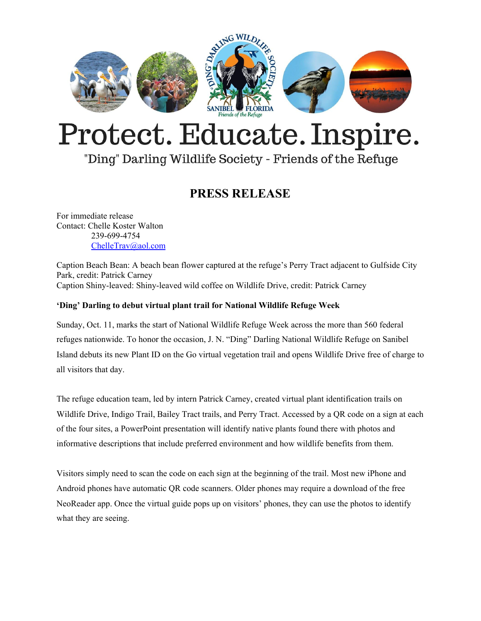

# Protect. Educate. Inspire.

## "Ding" Darling Wildlife Society - Friends of the Refuge

## **PRESS RELEASE**

For immediate release Contact: Chelle Koster Walton 239-699-4754 [ChelleTrav@aol.com](mailto:ChelleTrav@aol.com)

Caption Beach Bean: A beach bean flower captured at the refuge's Perry Tract adjacent to Gulfside City Park, credit: Patrick Carney Caption Shiny-leaved: Shiny-leaved wild coffee on Wildlife Drive, credit: Patrick Carney

### **'Ding' Darling to debut virtual plant trail for National Wildlife Refuge Week**

Sunday, Oct. 11, marks the start of National Wildlife Refuge Week across the more than 560 federal refuges nationwide. To honor the occasion, J. N. "Ding" Darling National Wildlife Refuge on Sanibel Island debuts its new Plant ID on the Go virtual vegetation trail and opens Wildlife Drive free of charge to all visitors that day.

The refuge education team, led by intern Patrick Carney, created virtual plant identification trails on Wildlife Drive, Indigo Trail, Bailey Tract trails, and Perry Tract. Accessed by a QR code on a sign at each of the four sites, a PowerPoint presentation will identify native plants found there with photos and informative descriptions that include preferred environment and how wildlife benefits from them.

Visitors simply need to scan the code on each sign at the beginning of the trail. Most new iPhone and Android phones have automatic QR code scanners. Older phones may require a download of the free NeoReader app. Once the virtual guide pops up on visitors' phones, they can use the photos to identify what they are seeing.